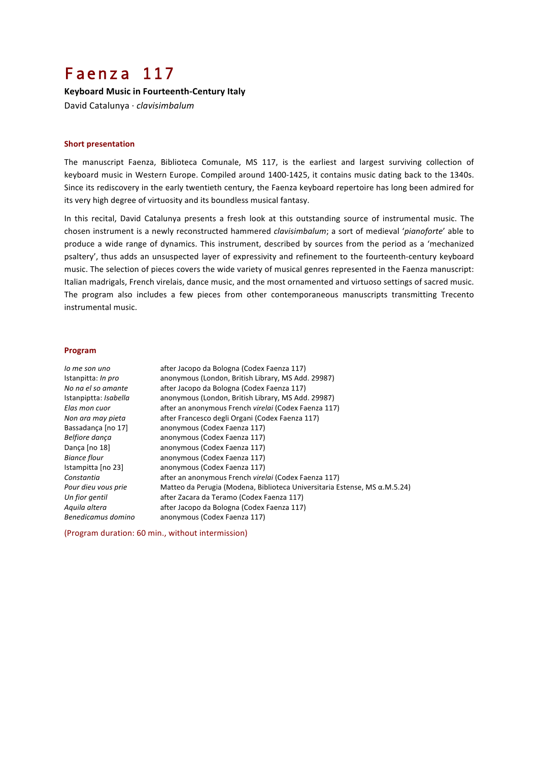# Faenza 117

**Keyboard Music in Fourteenth-Century Italy** David Catalunya · *clavisimbalum*

### **Short presentation**

The manuscript Faenza, Biblioteca Comunale, MS 117, is the earliest and largest surviving collection of keyboard music in Western Europe. Compiled around 1400-1425, it contains music dating back to the 1340s. Since its rediscovery in the early twentieth century, the Faenza keyboard repertoire has long been admired for its very high degree of virtuosity and its boundless musical fantasy.

In this recital, David Catalunya presents a fresh look at this outstanding source of instrumental music. The chosen instrument is a newly reconstructed hammered *clavisimbalum*; a sort of medieval 'pianoforte' able to produce a wide range of dynamics. This instrument, described by sources from the period as a 'mechanized psaltery', thus adds an unsuspected layer of expressivity and refinement to the fourteenth-century keyboard music. The selection of pieces covers the wide variety of musical genres represented in the Faenza manuscript: Italian madrigals, French virelais, dance music, and the most ornamented and virtuoso settings of sacred music. The program also includes a few pieces from other contemporaneous manuscripts transmitting Trecento instrumental music.

## **Program**

| lo me son uno                | after Jacopo da Bologna (Codex Faenza 117)                                        |
|------------------------------|-----------------------------------------------------------------------------------|
| Istanpitta: <i>In pro</i>    | anonymous (London, British Library, MS Add. 29987)                                |
| No na el so amante           | after Jacopo da Bologna (Codex Faenza 117)                                        |
| Istanpiptta: <i>Isabella</i> | anonymous (London, British Library, MS Add. 29987)                                |
| Elas mon cuor                | after an anonymous French virelai (Codex Faenza 117)                              |
| Non ara may pieta            | after Francesco degli Organi (Codex Faenza 117)                                   |
| Bassadanca [no 17]           | anonymous (Codex Faenza 117)                                                      |
| Belfiore danca               | anonymous (Codex Faenza 117)                                                      |
| Dança [no 18]                | anonymous (Codex Faenza 117)                                                      |
| Biance flour                 | anonymous (Codex Faenza 117)                                                      |
| Istampitta [no 23]           | anonymous (Codex Faenza 117)                                                      |
| Constantia                   | after an anonymous French virelai (Codex Faenza 117)                              |
| Pour dieu vous prie          | Matteo da Perugia (Modena, Biblioteca Universitaria Estense, MS $\alpha$ .M.5.24) |
| Un fior gentil               | after Zacara da Teramo (Codex Faenza 117)                                         |
| Aguila altera                | after Jacopo da Bologna (Codex Faenza 117)                                        |
| Benedicamus domino           | anonymous (Codex Faenza 117)                                                      |

(Program duration: 60 min., without intermission)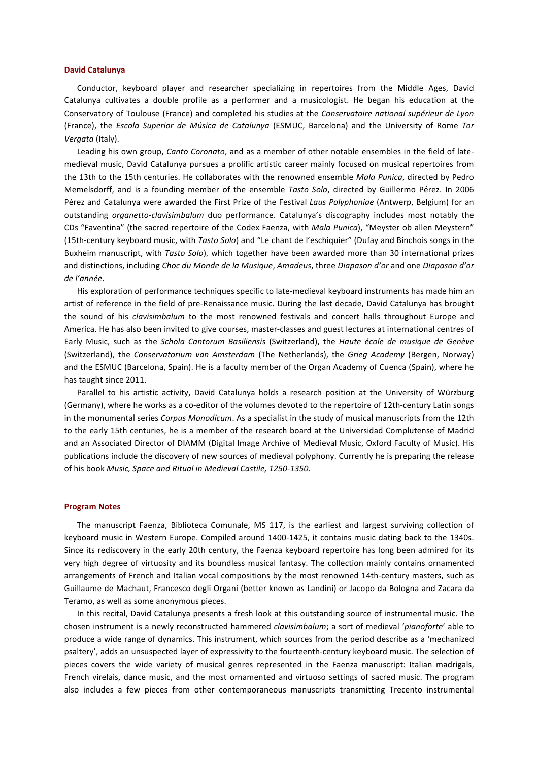#### **David Catalunya**

Conductor, keyboard player and researcher specializing in repertoires from the Middle Ages, David Catalunya cultivates a double profile as a performer and a musicologist. He began his education at the Conservatory of Toulouse (France) and completed his studies at the *Conservatoire national supérieur de Lyon* (France), the *Escola Superior de Música de Catalunya* (ESMUC, Barcelona) and the University of Rome Tor *Vergata* (Italy). 

Leading his own group, *Canto Coronato*, and as a member of other notable ensembles in the field of latemedieval music, David Catalunya pursues a prolific artistic career mainly focused on musical repertoires from the 13th to the 15th centuries. He collaborates with the renowned ensemble *Mala Punica*, directed by Pedro Memelsdorff, and is a founding member of the ensemble *Tasto Solo*, directed by Guillermo Pérez. In 2006 Pérez and Catalunya were awarded the First Prize of the Festival Laus Polyphoniae (Antwerp, Belgium) for an outstanding *organetto-clavisimbalum* duo performance. Catalunya's discography includes most notably the CDs "Faventina" (the sacred repertoire of the Codex Faenza, with *Mala Punica*), "Meyster ob allen Meystern" (15th-century keyboard music, with *Tasto Solo*) and "Le chant de l'eschiquier" (Dufay and Binchois songs in the Buxheim manuscript, with *Tasto Solo*), which together have been awarded more than 30 international prizes and distinctions, including *Choc du Monde de la Musique*, *Amadeus*, three *Diapason d'or* and one *Diapason d'or de l'année*. 

His exploration of performance techniques specific to late-medieval keyboard instruments has made him an artist of reference in the field of pre-Renaissance music. During the last decade, David Catalunya has brought the sound of his *clavisimbalum* to the most renowned festivals and concert halls throughout Europe and America. He has also been invited to give courses, master-classes and guest lectures at international centres of Early Music, such as the *Schola Cantorum Basiliensis* (Switzerland), the *Haute école de musique de Genève* (Switzerland), the *Conservatorium van Amsterdam* (The Netherlands), the *Grieg Academy* (Bergen, Norway) and the ESMUC (Barcelona, Spain). He is a faculty member of the Organ Academy of Cuenca (Spain), where he has taught since 2011.

Parallel to his artistic activity, David Catalunya holds a research position at the University of Würzburg (Germany), where he works as a co-editor of the volumes devoted to the repertoire of 12th-century Latin songs in the monumental series *Corpus Monodicum*. As a specialist in the study of musical manuscripts from the 12th to the early 15th centuries, he is a member of the research board at the Universidad Complutense of Madrid and an Associated Director of DIAMM (Digital Image Archive of Medieval Music, Oxford Faculty of Music). His publications include the discovery of new sources of medieval polyphony. Currently he is preparing the release of his book *Music, Space and Ritual in Medieval Castile, 1250-1350*.

#### **Program Notes**

The manuscript Faenza, Biblioteca Comunale, MS 117, is the earliest and largest surviving collection of keyboard music in Western Europe. Compiled around 1400-1425, it contains music dating back to the 1340s. Since its rediscovery in the early 20th century, the Faenza keyboard repertoire has long been admired for its very high degree of virtuosity and its boundless musical fantasy. The collection mainly contains ornamented arrangements of French and Italian vocal compositions by the most renowned 14th-century masters, such as Guillaume de Machaut, Francesco degli Organi (better known as Landini) or Jacopo da Bologna and Zacara da Teramo, as well as some anonymous pieces.

In this recital, David Catalunya presents a fresh look at this outstanding source of instrumental music. The chosen instrument is a newly reconstructed hammered *clavisimbalum*; a sort of medieval 'pianoforte' able to produce a wide range of dynamics. This instrument, which sources from the period describe as a 'mechanized psaltery', adds an unsuspected layer of expressivity to the fourteenth-century keyboard music. The selection of pieces covers the wide variety of musical genres represented in the Faenza manuscript: Italian madrigals, French virelais, dance music, and the most ornamented and virtuoso settings of sacred music. The program also includes a few pieces from other contemporaneous manuscripts transmitting Trecento instrumental